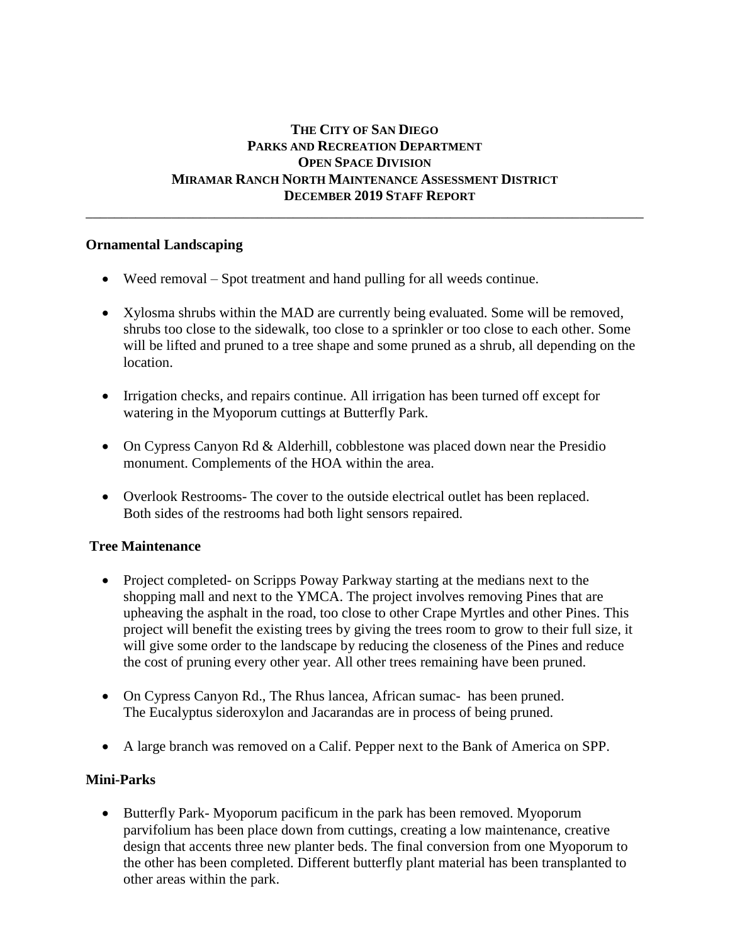# **THE CITY OF SAN DIEGO PARKS AND RECREATION DEPARTMENT OPEN SPACE DIVISION MIRAMAR RANCH NORTH MAINTENANCE ASSESSMENT DISTRICT DECEMBER 2019 STAFF REPORT**

\_\_\_\_\_\_\_\_\_\_\_\_\_\_\_\_\_\_\_\_\_\_\_\_\_\_\_\_\_\_\_\_\_\_\_\_\_\_\_\_\_\_\_\_\_\_\_\_\_\_\_\_\_\_\_\_\_\_\_\_\_\_\_\_\_\_\_\_\_\_\_\_\_\_\_\_\_\_

### **Ornamental Landscaping**

- Weed removal Spot treatment and hand pulling for all weeds continue.
- Xylosma shrubs within the MAD are currently being evaluated. Some will be removed, shrubs too close to the sidewalk, too close to a sprinkler or too close to each other. Some will be lifted and pruned to a tree shape and some pruned as a shrub, all depending on the location.
- Irrigation checks, and repairs continue. All irrigation has been turned off except for watering in the Myoporum cuttings at Butterfly Park.
- On Cypress Canyon Rd & Alderhill, cobblestone was placed down near the Presidio monument. Complements of the HOA within the area.
- Overlook Restrooms- The cover to the outside electrical outlet has been replaced. Both sides of the restrooms had both light sensors repaired.

## **Tree Maintenance**

- Project completed- on Scripps Poway Parkway starting at the medians next to the shopping mall and next to the YMCA. The project involves removing Pines that are upheaving the asphalt in the road, too close to other Crape Myrtles and other Pines. This project will benefit the existing trees by giving the trees room to grow to their full size, it will give some order to the landscape by reducing the closeness of the Pines and reduce the cost of pruning every other year. All other trees remaining have been pruned.
- On Cypress Canyon Rd., The Rhus lancea, African sumac- has been pruned. The Eucalyptus sideroxylon and Jacarandas are in process of being pruned.
- A large branch was removed on a Calif. Pepper next to the Bank of America on SPP.

## **Mini-Parks**

• Butterfly Park- Myoporum pacificum in the park has been removed. Myoporum parvifolium has been place down from cuttings, creating a low maintenance, creative design that accents three new planter beds. The final conversion from one Myoporum to the other has been completed. Different butterfly plant material has been transplanted to other areas within the park.